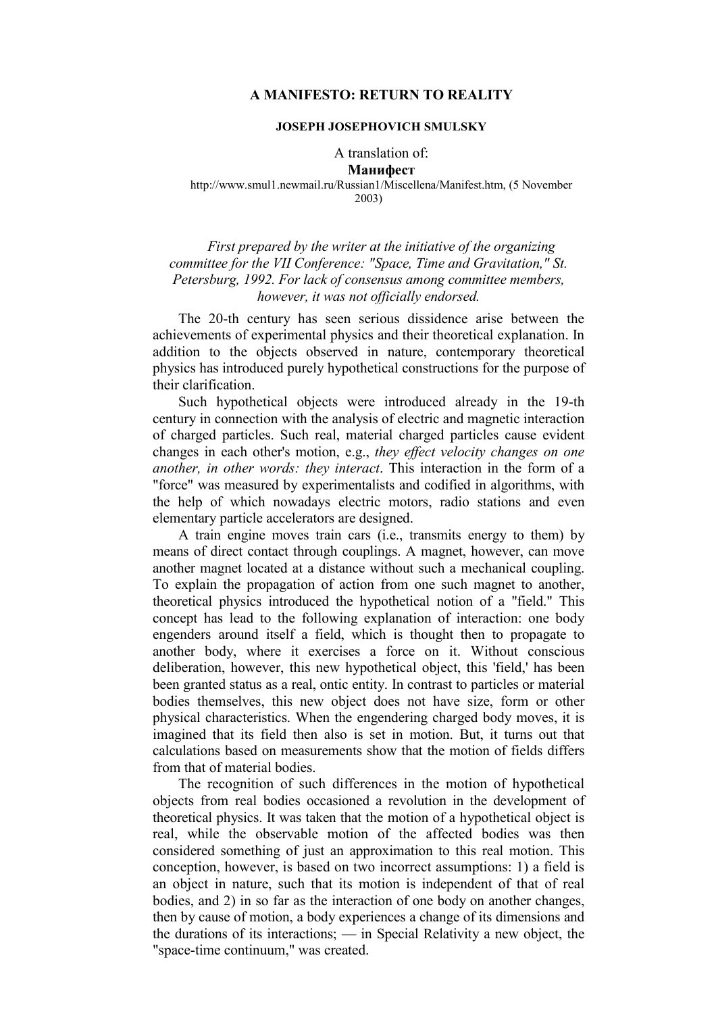# **A MANIFESTO: RETURN TO REALITY**

## **JOSEPH JOSEPHOVICH SMULSKY**

## A translation of: Манифест

#### http://www.smul1.newmail.ru/Russian1/Miscellena/Manifest.htm, (5 November 2003)

# *First prepared by the writer at the initiative of the organizing committee for the VII Conference: "Space, Time and Gravitation," St. Petersburg, 1992. For lack of consensus among committee members, however, it was not officially endorsed.*

The 20-th century has seen serious dissidence arise between the achievements of experimental physics and their theoretical explanation. In addition to the objects observed in nature, contemporary theoretical physics has introduced purely hypothetical constructions for the purpose of their clarification.

Such hypothetical objects were introduced already in the 19-th century in connection with the analysis of electric and magnetic interaction of charged particles. Such real, material charged particles cause evident changes in each other's motion, e.g., *they effect velocity changes on one another, in other words: they interact*. This interaction in the form of a "force" was measured by experimentalists and codified in algorithms, with the help of which nowadays electric motors, radio stations and even elementary particle accelerators are designed.

A train engine moves train cars (i.e., transmits energy to them) by means of direct contact through couplings. A magnet, however, can move another magnet located at a distance without such a mechanical coupling. To explain the propagation of action from one such magnet to another, theoretical physics introduced the hypothetical notion of a "field." This concept has lead to the following explanation of interaction: one body engenders around itself a field, which is thought then to propagate to another body, where it exercises a force on it. Without conscious deliberation, however, this new hypothetical object, this 'field,' has been been granted status as a real, ontic entity. In contrast to particles or material bodies themselves, this new object does not have size, form or other physical characteristics. When the engendering charged body moves, it is imagined that its field then also is set in motion. But, it turns out that calculations based on measurements show that the motion of fields differs from that of material bodies.

The recognition of such differences in the motion of hypothetical objects from real bodies occasioned a revolution in the development of theoretical physics. It was taken that the motion of a hypothetical object is real, while the observable motion of the affected bodies was then considered something of just an approximation to this real motion. This conception, however, is based on two incorrect assumptions: 1) a field is an object in nature, such that its motion is independent of that of real bodies, and 2) in so far as the interaction of one body on another changes, then by cause of motion, a body experiences a change of its dimensions and the durations of its interactions; — in Special Relativity a new object, the "space-time continuum," was created.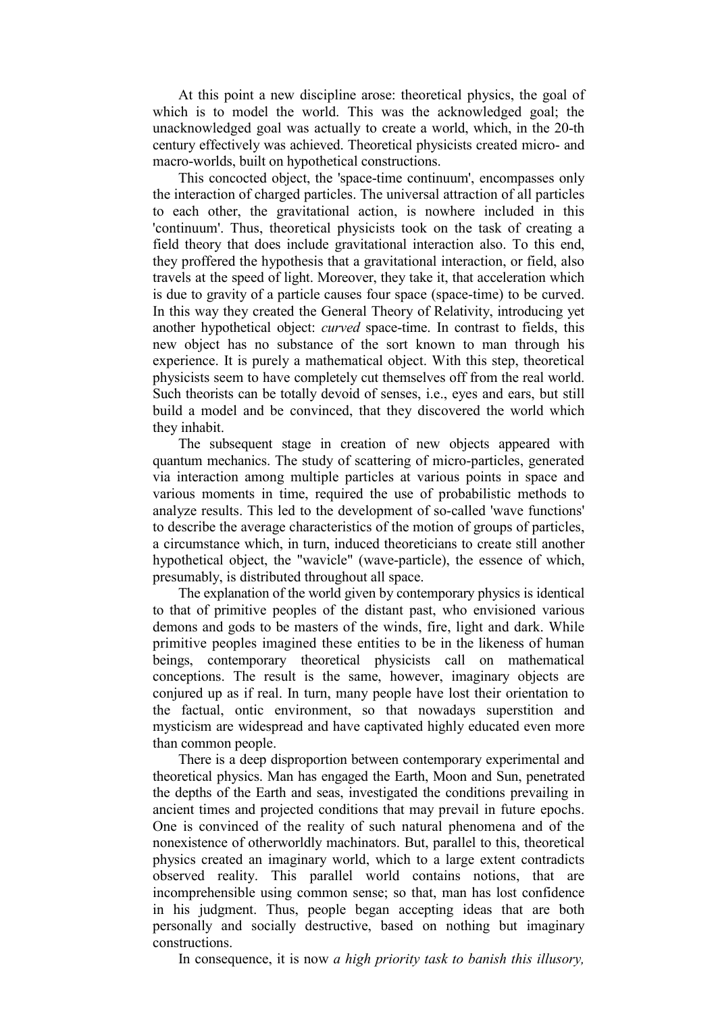At this point a new discipline arose: theoretical physics, the goal of which is to model the world. This was the acknowledged goal; the unacknowledged goal was actually to create a world, which, in the 20-th century effectively was achieved. Theoretical physicists created micro- and macro-worlds, built on hypothetical constructions.

This concocted object, the 'space-time continuum', encompasses only the interaction of charged particles. The universal attraction of all particles to each other, the gravitational action, is nowhere included in this 'continuum'. Thus, theoretical physicists took on the task of creating a field theory that does include gravitational interaction also. To this end, they proffered the hypothesis that a gravitational interaction, or field, also travels at the speed of light. Moreover, they take it, that acceleration which is due to gravity of a particle causes four space (space-time) to be curved. In this way they created the General Theory of Relativity, introducing yet another hypothetical object: *curved* space-time. In contrast to fields, this new object has no substance of the sort known to man through his experience. It is purely a mathematical object. With this step, theoretical physicists seem to have completely cut themselves off from the real world. Such theorists can be totally devoid of senses, i.e., eyes and ears, but still build a model and be convinced, that they discovered the world which they inhabit.

The subsequent stage in creation of new objects appeared with quantum mechanics. The study of scattering of micro-particles, generated via interaction among multiple particles at various points in space and various moments in time, required the use of probabilistic methods to analyze results. This led to the development of so-called 'wave functions' to describe the average characteristics of the motion of groups of particles, a circumstance which, in turn, induced theoreticians to create still another hypothetical object, the "wavicle" (wave-particle), the essence of which, presumably, is distributed throughout all space.

The explanation of the world given by contemporary physics is identical to that of primitive peoples of the distant past, who envisioned various demons and gods to be masters of the winds, fire, light and dark. While primitive peoples imagined these entities to be in the likeness of human beings, contemporary theoretical physicists call on mathematical conceptions. The result is the same, however, imaginary objects are conjured up as if real. In turn, many people have lost their orientation to the factual, ontic environment, so that nowadays superstition and mysticism are widespread and have captivated highly educated even more than common people.

There is a deep disproportion between contemporary experimental and theoretical physics. Man has engaged the Earth, Moon and Sun, penetrated the depths of the Earth and seas, investigated the conditions prevailing in ancient times and projected conditions that may prevail in future epochs. One is convinced of the reality of such natural phenomena and of the nonexistence of otherworldly machinators. But, parallel to this, theoretical physics created an imaginary world, which to a large extent contradicts observed reality. This parallel world contains notions, that are incomprehensible using common sense; so that, man has lost confidence in his judgment. Thus, people began accepting ideas that are both personally and socially destructive, based on nothing but imaginary constructions.

In consequence, it is now *a high priority task to banish this illusory,*